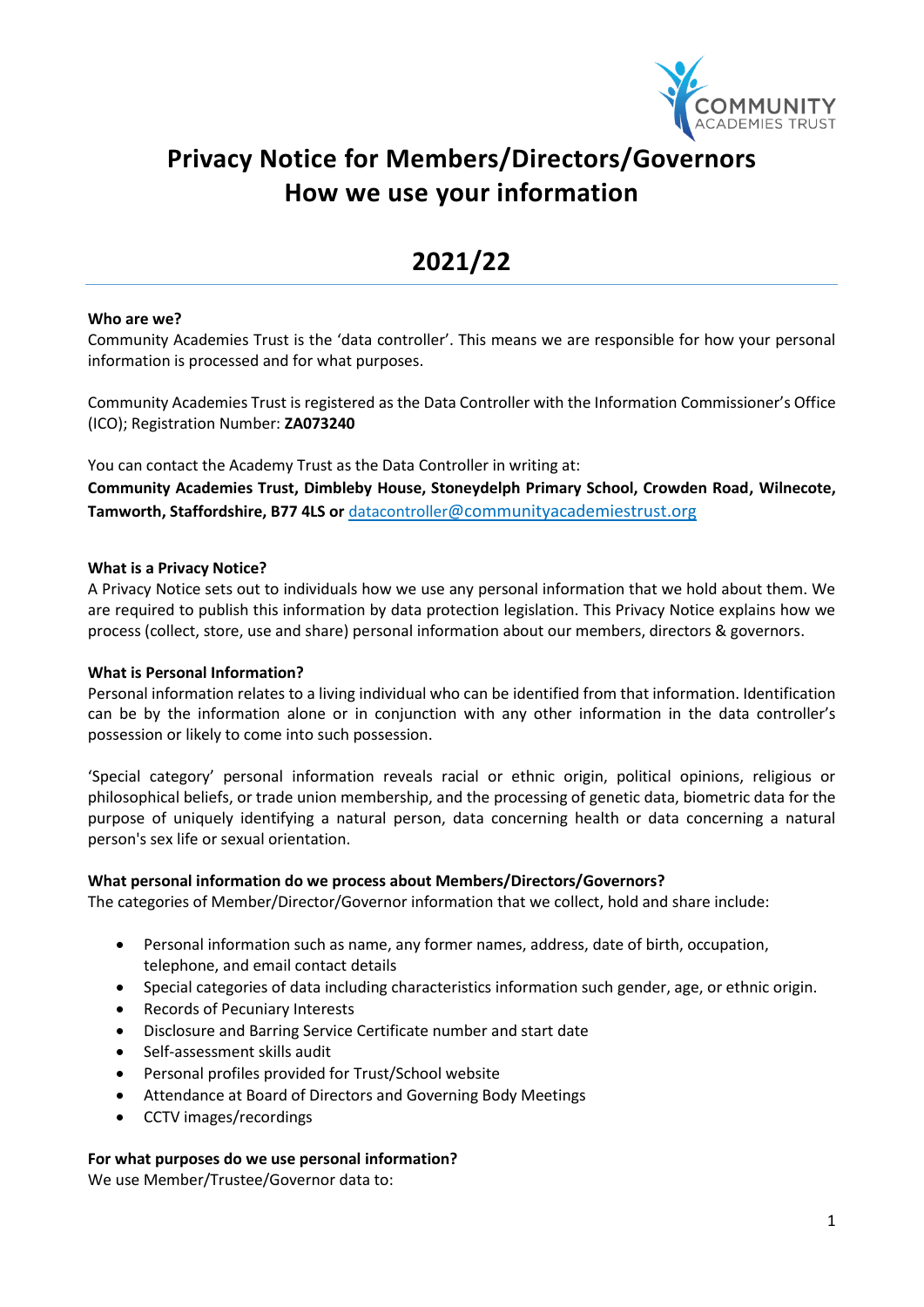

# **Privacy Notice for Members/Directors/Governors How we use your information**

# **2021/22**

#### **Who are we?**

Community Academies Trust is the 'data controller'. This means we are responsible for how your personal information is processed and for what purposes.

Community Academies Trust is registered as the Data Controller with the Information Commissioner's Office (ICO); Registration Number: **ZA073240**

You can contact the Academy Trust as the Data Controller in writing at: **Community Academies Trust, Dimbleby House, Stoneydelph Primary School, Crowden Road, Wilnecote, Tamworth, Staffordshire, B77 4LS or** datacontroller[@communityacademiestrust.org](mailto:enquiries@communityacademiestrust.org)

#### **What is a Privacy Notice?**

A Privacy Notice sets out to individuals how we use any personal information that we hold about them. We are required to publish this information by data protection legislation. This Privacy Notice explains how we process (collect, store, use and share) personal information about our members, directors & governors.

#### **What is Personal Information?**

Personal information relates to a living individual who can be identified from that information. Identification can be by the information alone or in conjunction with any other information in the data controller's possession or likely to come into such possession.

'Special category' personal information reveals racial or ethnic origin, political opinions, religious or philosophical beliefs, or trade union membership, and the processing of genetic data, biometric data for the purpose of uniquely identifying a natural person, data concerning health or data concerning a natural person's sex life or sexual orientation.

#### **What personal information do we process about Members/Directors/Governors?**

The categories of Member/Director/Governor information that we collect, hold and share include:

- Personal information such as name, any former names, address, date of birth, occupation, telephone, and email contact details
- Special categories of data including characteristics information such gender, age, or ethnic origin.
- Records of Pecuniary Interests
- Disclosure and Barring Service Certificate number and start date
- Self-assessment skills audit
- Personal profiles provided for Trust/School website
- Attendance at Board of Directors and Governing Body Meetings
- CCTV images/recordings

#### **For what purposes do we use personal information?**

We use Member/Trustee/Governor data to: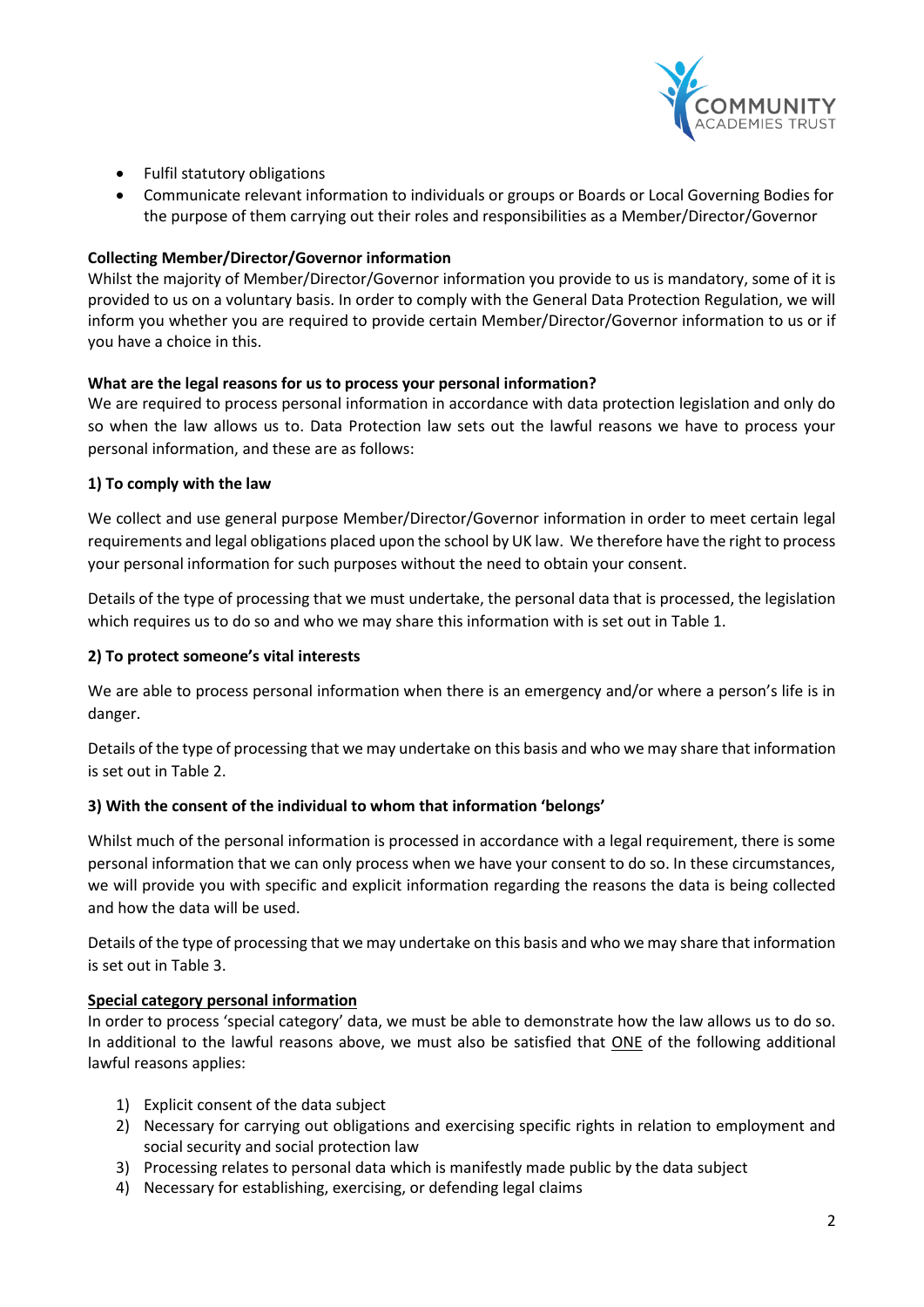

- Fulfil statutory obligations
- Communicate relevant information to individuals or groups or Boards or Local Governing Bodies for the purpose of them carrying out their roles and responsibilities as a Member/Director/Governor

## **Collecting Member/Director/Governor information**

Whilst the majority of Member/Director/Governor information you provide to us is mandatory, some of it is provided to us on a voluntary basis. In order to comply with the General Data Protection Regulation, we will inform you whether you are required to provide certain Member/Director/Governor information to us or if you have a choice in this.

## **What are the legal reasons for us to process your personal information?**

We are required to process personal information in accordance with data protection legislation and only do so when the law allows us to. Data Protection law sets out the lawful reasons we have to process your personal information, and these are as follows:

## **1) To comply with the law**

We collect and use general purpose Member/Director/Governor information in order to meet certain legal requirements and legal obligations placed upon the school by UK law. We therefore have the right to process your personal information for such purposes without the need to obtain your consent.

Details of the type of processing that we must undertake, the personal data that is processed, the legislation which requires us to do so and who we may share this information with is set out in Table 1.

#### **2) To protect someone's vital interests**

We are able to process personal information when there is an emergency and/or where a person's life is in danger.

Details of the type of processing that we may undertake on this basis and who we may share that information is set out in Table 2.

#### **3) With the consent of the individual to whom that information 'belongs'**

Whilst much of the personal information is processed in accordance with a legal requirement, there is some personal information that we can only process when we have your consent to do so. In these circumstances, we will provide you with specific and explicit information regarding the reasons the data is being collected and how the data will be used.

Details of the type of processing that we may undertake on this basis and who we may share that information is set out in Table 3.

#### **Special category personal information**

In order to process 'special category' data, we must be able to demonstrate how the law allows us to do so. In additional to the lawful reasons above, we must also be satisfied that ONE of the following additional lawful reasons applies:

- 1) Explicit consent of the data subject
- 2) Necessary for carrying out obligations and exercising specific rights in relation to employment and social security and social protection law
- 3) Processing relates to personal data which is manifestly made public by the data subject
- 4) Necessary for establishing, exercising, or defending legal claims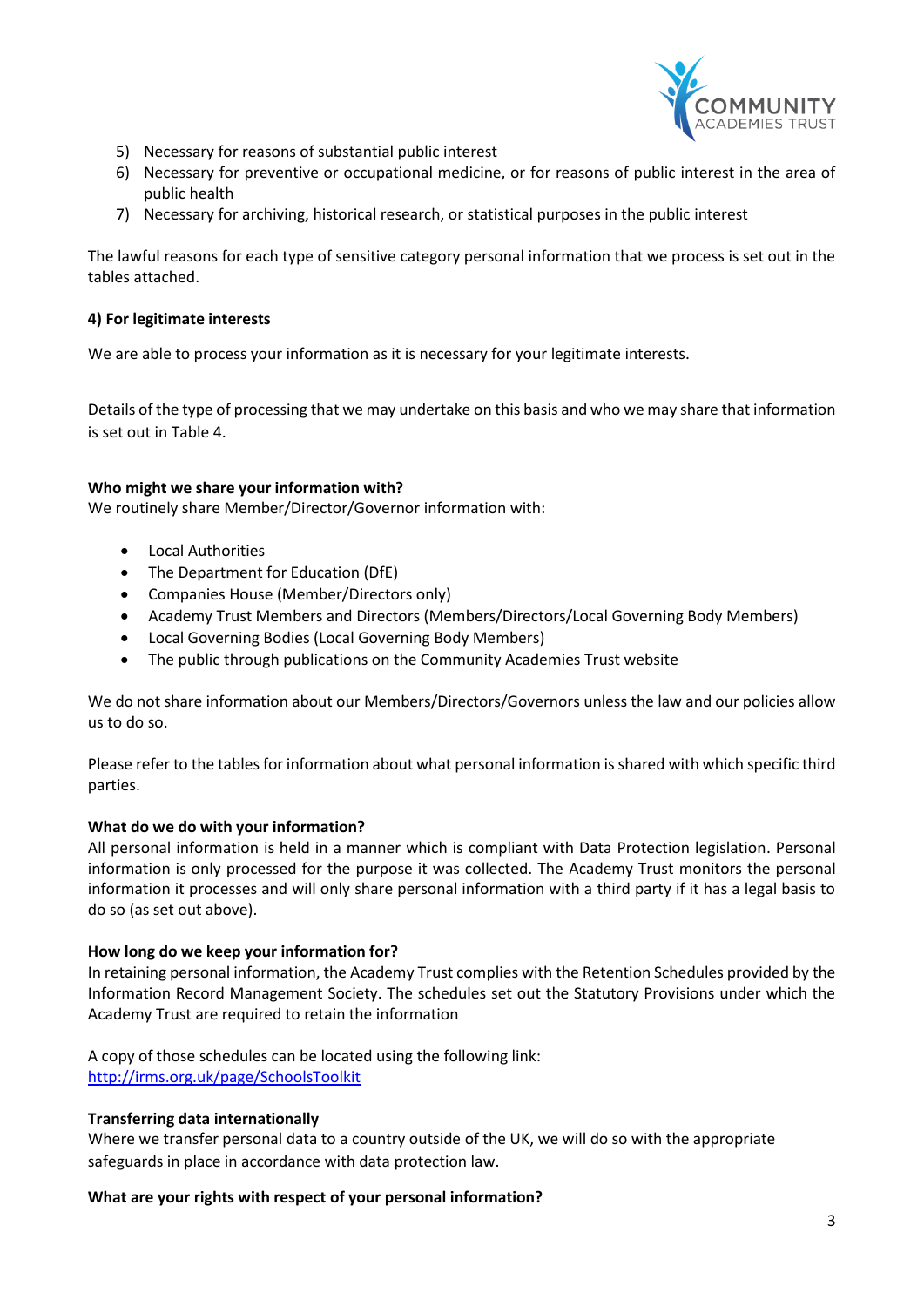

- 5) Necessary for reasons of substantial public interest
- 6) Necessary for preventive or occupational medicine, or for reasons of public interest in the area of public health
- 7) Necessary for archiving, historical research, or statistical purposes in the public interest

The lawful reasons for each type of sensitive category personal information that we process is set out in the tables attached.

#### **4) For legitimate interests**

We are able to process your information as it is necessary for your legitimate interests.

Details of the type of processing that we may undertake on this basis and who we may share that information is set out in Table 4.

#### **Who might we share your information with?**

We routinely share Member/Director/Governor information with:

- Local Authorities
- The Department for Education (DfE)
- Companies House (Member/Directors only)
- Academy Trust Members and Directors (Members/Directors/Local Governing Body Members)
- Local Governing Bodies (Local Governing Body Members)
- The public through publications on the Community Academies Trust website

We do not share information about our Members/Directors/Governors unless the law and our policies allow us to do so.

Please refer to the tables for information about what personal information is shared with which specific third parties.

#### **What do we do with your information?**

All personal information is held in a manner which is compliant with Data Protection legislation. Personal information is only processed for the purpose it was collected. The Academy Trust monitors the personal information it processes and will only share personal information with a third party if it has a legal basis to do so (as set out above).

#### **How long do we keep your information for?**

In retaining personal information, the Academy Trust complies with the Retention Schedules provided by the Information Record Management Society. The schedules set out the Statutory Provisions under which the Academy Trust are required to retain the information

A copy of those schedules can be located using the following link: <http://irms.org.uk/page/SchoolsToolkit>

#### **Transferring data internationally**

Where we transfer personal data to a country outside of the UK, we will do so with the appropriate safeguards in place in accordance with data protection law.

#### **What are your rights with respect of your personal information?**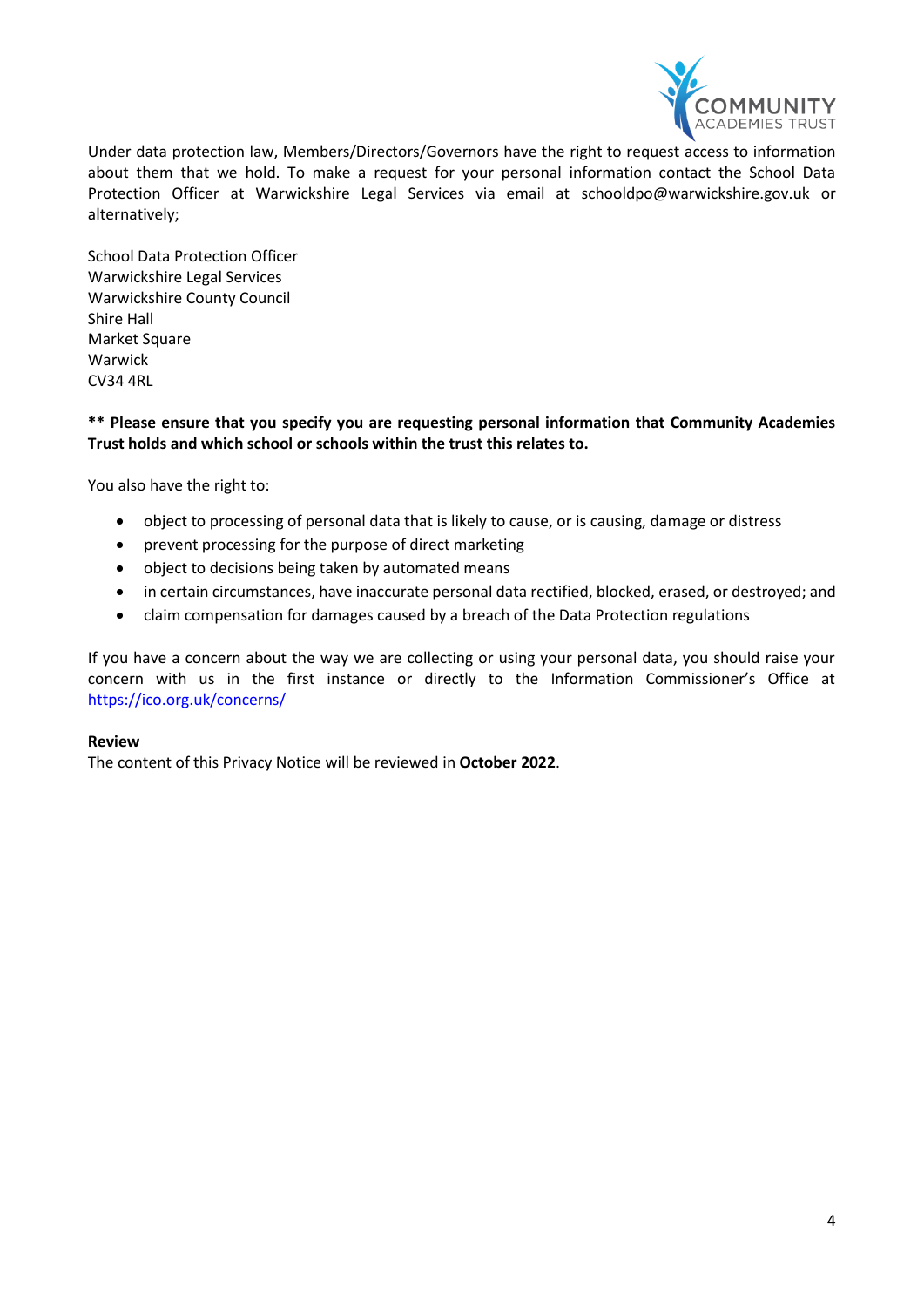

Under data protection law, Members/Directors/Governors have the right to request access to information about them that we hold. To make a request for your personal information contact the School Data Protection Officer at Warwickshire Legal Services via email at [schooldpo@warwickshire.gov.uk](mailto:schooldpo@warwickshire.gov.uk) or alternatively;

School Data Protection Officer Warwickshire Legal Services Warwickshire County Council Shire Hall **Market Square** Warwick CV34 4RL

#### **\*\* Please ensure that you specify you are requesting personal information that Community Academies Trust holds and which school or schools within the trust this relates to.**

You also have the right to:

- object to processing of personal data that is likely to cause, or is causing, damage or distress
- prevent processing for the purpose of direct marketing
- object to decisions being taken by automated means
- in certain circumstances, have inaccurate personal data rectified, blocked, erased, or destroyed; and
- claim compensation for damages caused by a breach of the Data Protection regulations

If you have a concern about the way we are collecting or using your personal data, you should raise your concern with us in the first instance or directly to the Information Commissioner's Office at <https://ico.org.uk/concerns/>

#### **Review**

The content of this Privacy Notice will be reviewed in **October 2022**.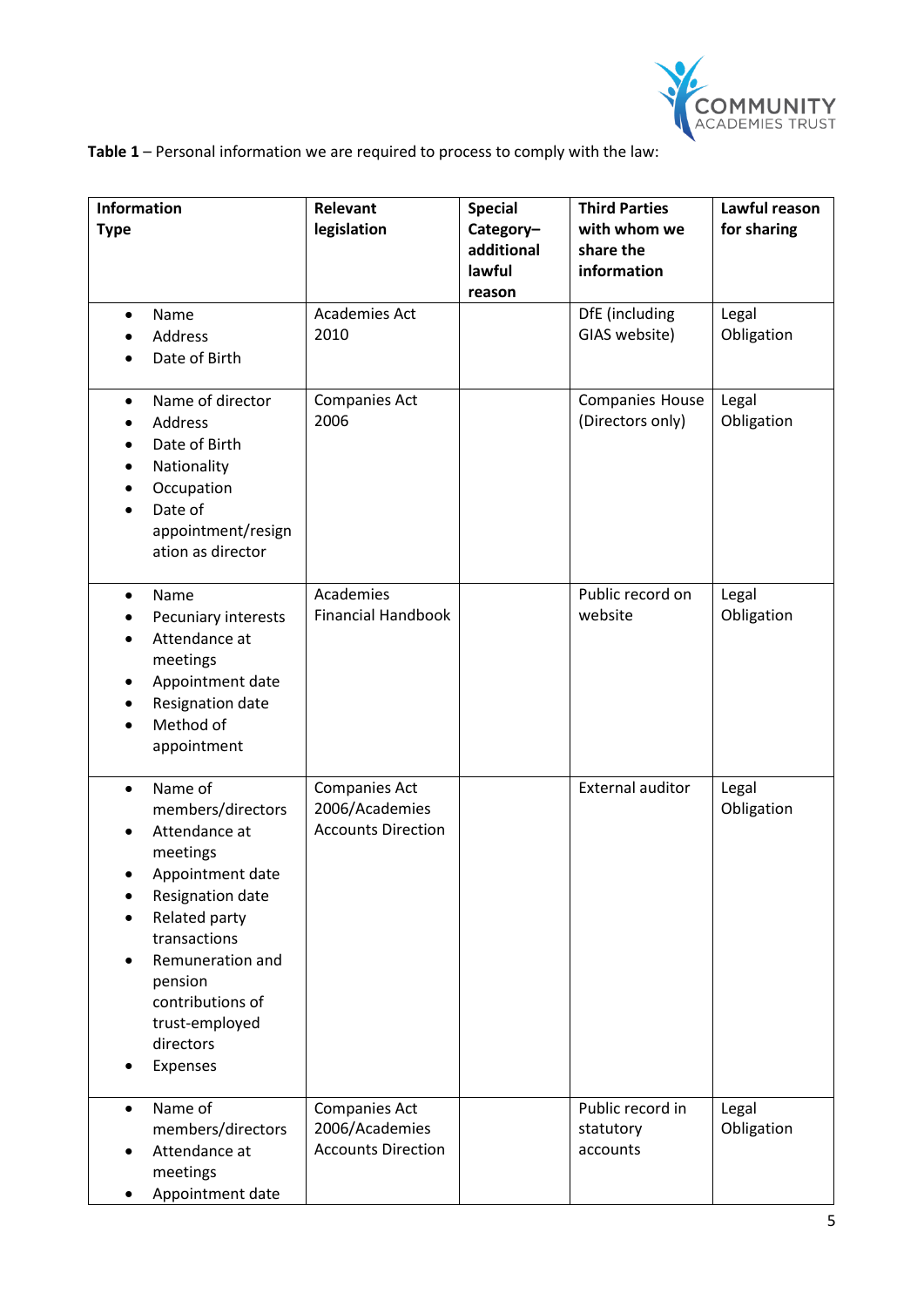

**Table 1** – Personal information we are required to process to comply with the law:

| <b>Information</b><br><b>Type</b>                                                                                                                                                                                                             | Relevant<br>legislation                                             | <b>Special</b><br>Category-<br>additional<br>lawful<br>reason | <b>Third Parties</b><br>with whom we<br>share the<br>information | Lawful reason<br>for sharing |
|-----------------------------------------------------------------------------------------------------------------------------------------------------------------------------------------------------------------------------------------------|---------------------------------------------------------------------|---------------------------------------------------------------|------------------------------------------------------------------|------------------------------|
| Name<br>$\bullet$<br>Address<br>Date of Birth                                                                                                                                                                                                 | Academies Act<br>2010                                               |                                                               | DfE (including<br>GIAS website)                                  | Legal<br>Obligation          |
| Name of director<br>$\bullet$<br>Address<br>Date of Birth<br>Nationality<br>Occupation<br>Date of<br>appointment/resign<br>ation as director                                                                                                  | <b>Companies Act</b><br>2006                                        |                                                               | <b>Companies House</b><br>(Directors only)                       | Legal<br>Obligation          |
| Name<br>$\bullet$<br>Pecuniary interests<br>Attendance at<br>meetings<br>Appointment date<br>Resignation date<br>Method of<br>appointment                                                                                                     | Academies<br><b>Financial Handbook</b>                              |                                                               | Public record on<br>website                                      | Legal<br>Obligation          |
| Name of<br>$\bullet$<br>members/directors<br>Attendance at<br>meetings<br>Appointment date<br>Resignation date<br>Related party<br>transactions<br>Remuneration and<br>pension<br>contributions of<br>trust-employed<br>directors<br>Expenses | <b>Companies Act</b><br>2006/Academies<br><b>Accounts Direction</b> |                                                               | <b>External auditor</b>                                          | Legal<br>Obligation          |
| Name of<br>$\bullet$<br>members/directors<br>Attendance at<br>meetings<br>Appointment date                                                                                                                                                    | <b>Companies Act</b><br>2006/Academies<br><b>Accounts Direction</b> |                                                               | Public record in<br>statutory<br>accounts                        | Legal<br>Obligation          |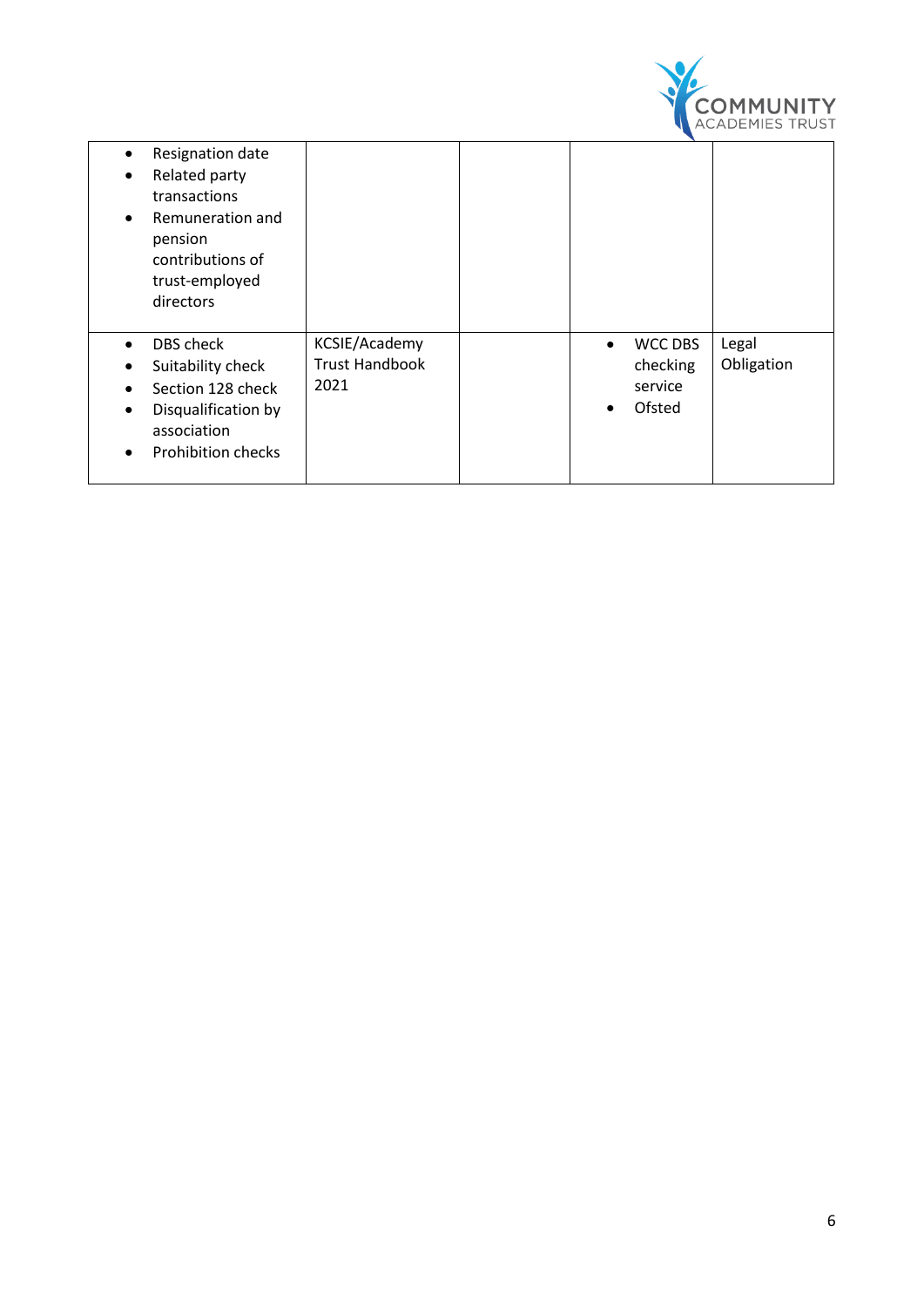

| Resignation date<br>$\bullet$<br>Related party<br>٠<br>transactions<br>Remuneration and<br>$\bullet$<br>pension<br>contributions of<br>trust-employed<br>directors              |                                                |           |                                                 |                     |
|---------------------------------------------------------------------------------------------------------------------------------------------------------------------------------|------------------------------------------------|-----------|-------------------------------------------------|---------------------|
| DBS check<br>$\bullet$<br>Suitability check<br>٠<br>Section 128 check<br>$\bullet$<br>Disqualification by<br>$\bullet$<br>association<br><b>Prohibition checks</b><br>$\bullet$ | KCSIE/Academy<br><b>Trust Handbook</b><br>2021 | $\bullet$ | <b>WCC DBS</b><br>checking<br>service<br>Ofsted | Legal<br>Obligation |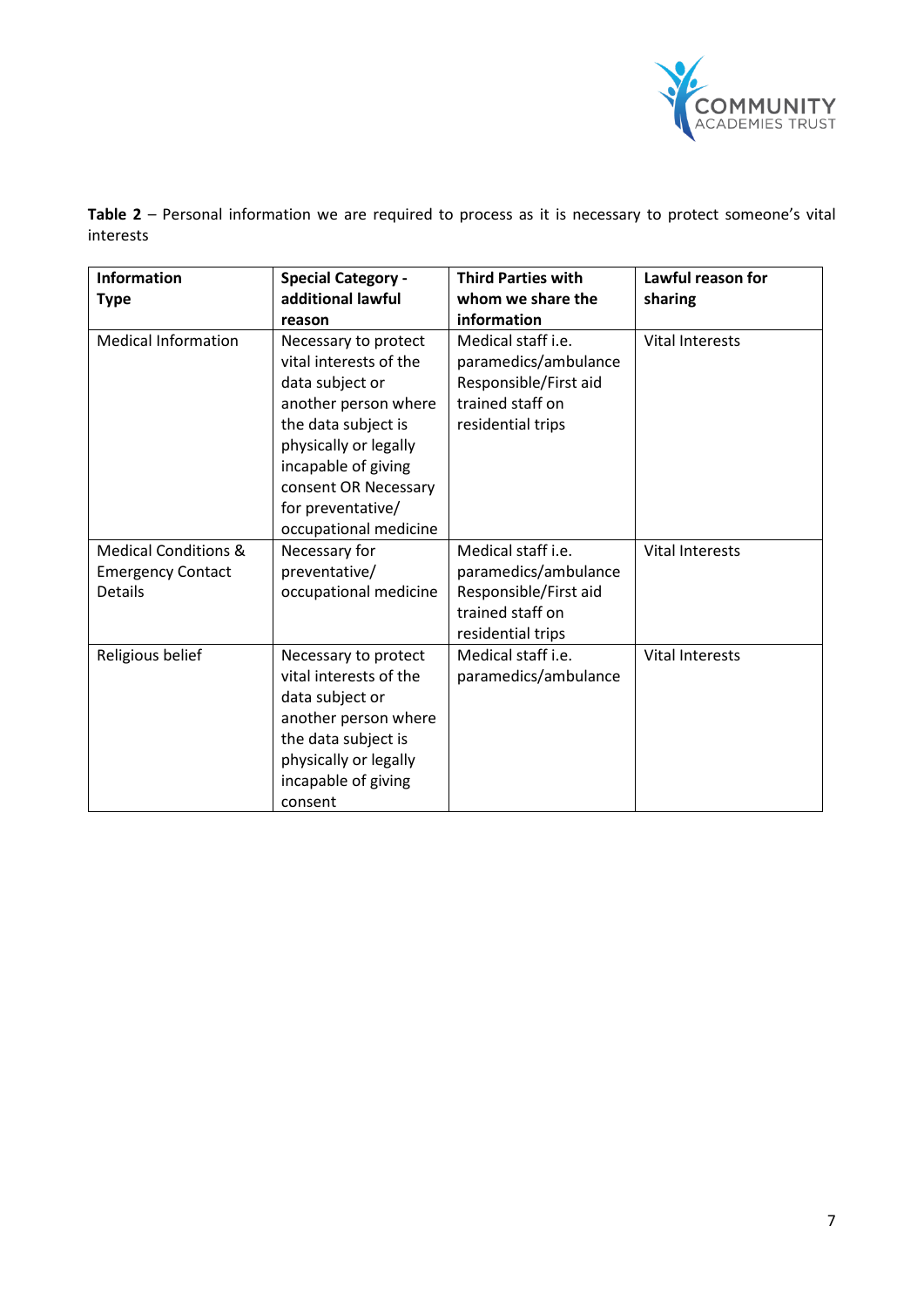

**Table 2** – Personal information we are required to process as it is necessary to protect someone's vital interests

| <b>Information</b>                                                            | <b>Special Category -</b>                                                                                                                                                                                                              | <b>Third Parties with</b>                                                                                           | Lawful reason for      |
|-------------------------------------------------------------------------------|----------------------------------------------------------------------------------------------------------------------------------------------------------------------------------------------------------------------------------------|---------------------------------------------------------------------------------------------------------------------|------------------------|
| <b>Type</b>                                                                   | additional lawful                                                                                                                                                                                                                      | whom we share the                                                                                                   | sharing                |
|                                                                               | reason                                                                                                                                                                                                                                 | information                                                                                                         |                        |
| <b>Medical Information</b>                                                    | Necessary to protect<br>vital interests of the<br>data subject or<br>another person where<br>the data subject is<br>physically or legally<br>incapable of giving<br>consent OR Necessary<br>for preventative/<br>occupational medicine | Medical staff <i>i.e.</i><br>paramedics/ambulance<br>Responsible/First aid<br>trained staff on<br>residential trips | <b>Vital Interests</b> |
| <b>Medical Conditions &amp;</b><br><b>Emergency Contact</b><br><b>Details</b> | Necessary for<br>preventative/<br>occupational medicine                                                                                                                                                                                | Medical staff i.e.<br>paramedics/ambulance<br>Responsible/First aid<br>trained staff on<br>residential trips        | <b>Vital Interests</b> |
| Religious belief                                                              | Necessary to protect<br>vital interests of the<br>data subject or<br>another person where<br>the data subject is<br>physically or legally<br>incapable of giving<br>consent                                                            | Medical staff <i>i.e.</i><br>paramedics/ambulance                                                                   | <b>Vital Interests</b> |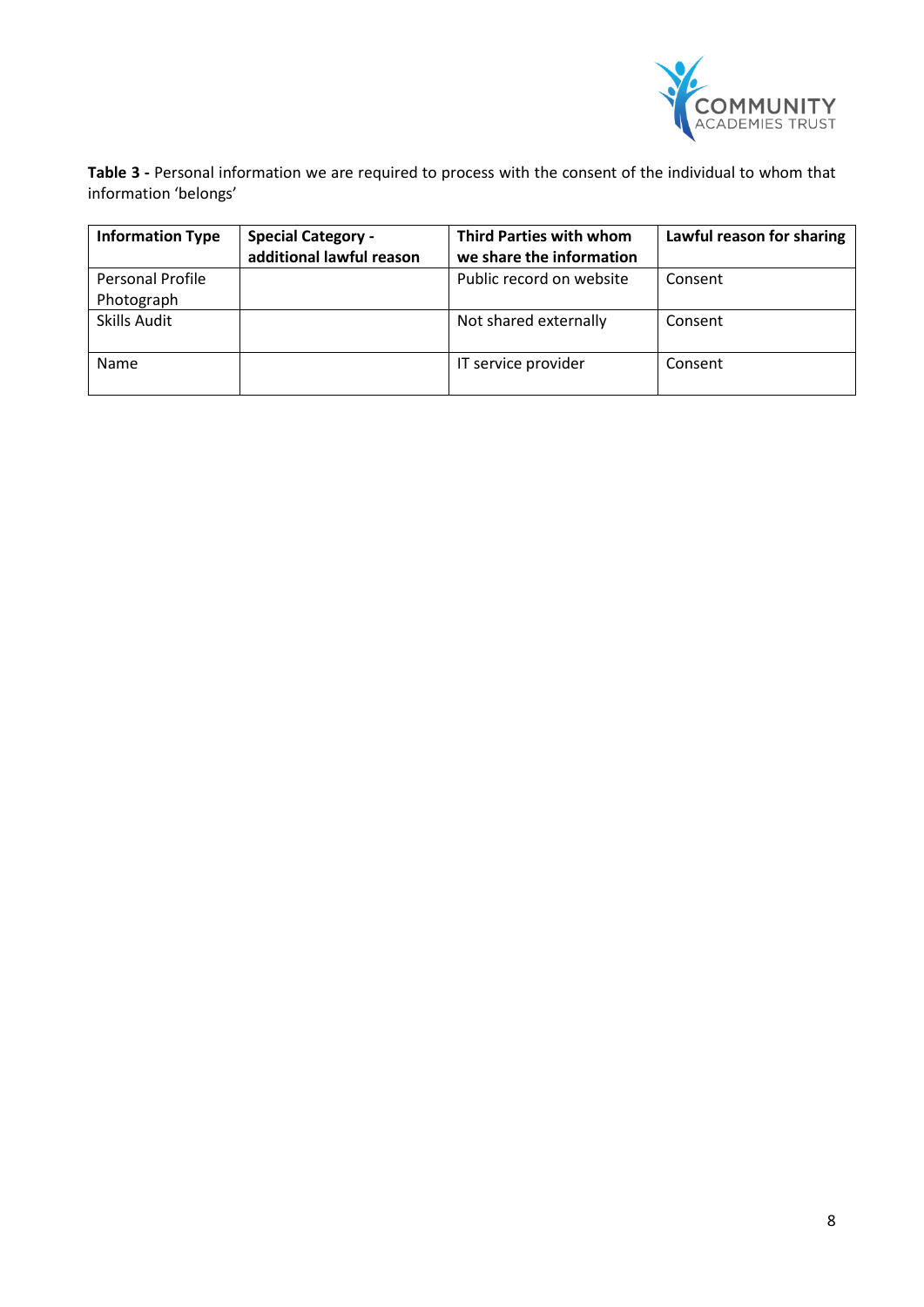

**Table 3 -** Personal information we are required to process with the consent of the individual to whom that information 'belongs'

| <b>Information Type</b> | <b>Special Category -</b><br>additional lawful reason | <b>Third Parties with whom</b><br>we share the information | Lawful reason for sharing |
|-------------------------|-------------------------------------------------------|------------------------------------------------------------|---------------------------|
| <b>Personal Profile</b> |                                                       | Public record on website                                   | Consent                   |
| Photograph              |                                                       |                                                            |                           |
| <b>Skills Audit</b>     |                                                       | Not shared externally                                      | Consent                   |
|                         |                                                       |                                                            |                           |
| <b>Name</b>             |                                                       | IT service provider                                        | Consent                   |